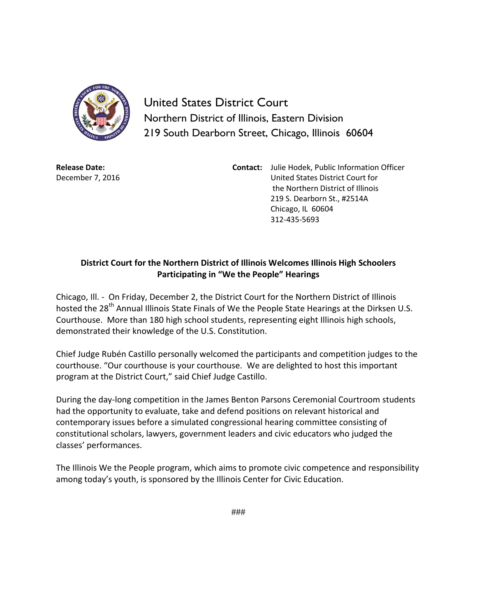

United States District Court Northern District of Illinois, Eastern Division 219 South Dearborn Street, Chicago, Illinois 60604

**Release Date:** December 7, 2016 **Contact:** Julie Hodek, Public Information Officer United States District Court for the Northern District of Illinois 219 S. Dearborn St., #2514A Chicago, IL 60604 312-435-5693

## **District Court for the Northern District of Illinois Welcomes Illinois High Schoolers Participating in "We the People" Hearings**

Chicago, Ill. - On Friday, December 2, the District Court for the Northern District of Illinois hosted the 28<sup>th</sup> Annual Illinois State Finals of We the People State Hearings at the Dirksen U.S. Courthouse. More than 180 high school students, representing eight Illinois high schools, demonstrated their knowledge of the U.S. Constitution.

Chief Judge Rubén Castillo personally welcomed the participants and competition judges to the courthouse. "Our courthouse is your courthouse. We are delighted to host this important program at the District Court," said Chief Judge Castillo.

During the day-long competition in the James Benton Parsons Ceremonial Courtroom students had the opportunity to evaluate, take and defend positions on relevant historical and contemporary issues before a simulated congressional hearing committee consisting of constitutional scholars, lawyers, government leaders and civic educators who judged the classes' performances.

The Illinois We the People program, which aims to promote civic competence and responsibility among today's youth, is sponsored by the Illinois Center for Civic Education.

###